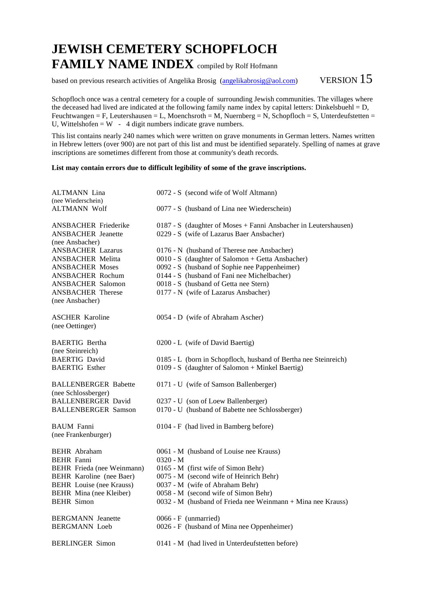## **JEWISH CEMETERY SCHOPFLOCH FAMILY NAME INDEX** compiled by Rolf Hofmann

based on previous research activities of Angelika Brosig (angelikabrosig@aol.com) VERSION  $15$ 

Schopfloch once was a central cemetery for a couple of surrounding Jewish communities. The villages where the deceased had lived are indicated at the following family name index by capital letters: Dinkelsbuehl =  $D$ , Feuchtwangen = F, Leutershausen = L, Moenchsroth = M, Nuernberg = N, Schopfloch = S, Unterdeufstetten = U, Wittelshofen =  $W - 4$  digit numbers indicate grave numbers.

This list contains nearly 240 names which were written on grave monuments in German letters. Names written in Hebrew letters (over 900) are not part of this list and must be identified separately. Spelling of names at grave inscriptions are sometimes different from those at community's death records.

## **List may contain errors due to difficult legibility of some of the grave inscriptions.**

| <b>ALTMANN</b> Lina<br>(nee Wiederschein)    | 0072 - S (second wife of Wolf Altmann)                          |
|----------------------------------------------|-----------------------------------------------------------------|
| <b>ALTMANN Wolf</b>                          | 0077 - S (husband of Lina nee Wiederschein)                     |
| <b>ANSBACHER Friederike</b>                  | 0187 - S (daughter of Moses + Fanni Ansbacher in Leutershausen) |
| <b>ANSBACHER</b> Jeanette<br>(nee Ansbacher) | 0229 - S (wife of Lazarus Baer Ansbacher)                       |
| <b>ANSBACHER Lazarus</b>                     | 0176 - N (husband of Therese nee Ansbacher)                     |
| <b>ANSBACHER Melitta</b>                     | 0010 - S (daughter of Salomon + Getta Ansbacher)                |
| <b>ANSBACHER Moses</b>                       | 0092 - S (husband of Sophie nee Pappenheimer)                   |
| <b>ANSBACHER Rochum</b>                      | 0144 - S (husband of Fani nee Michelbacher)                     |
| <b>ANSBACHER Salomon</b>                     | 0018 - S (husband of Getta nee Stern)                           |
| <b>ANSBACHER Therese</b>                     | 0177 - N (wife of Lazarus Ansbacher)                            |
| (nee Ansbacher)                              |                                                                 |
| <b>ASCHER Karoline</b>                       | 0054 - D (wife of Abraham Ascher)                               |
| (nee Oettinger)                              |                                                                 |
| <b>BAERTIG Bertha</b>                        | 0200 - L (wife of David Baertig)                                |
| (nee Steinreich)                             |                                                                 |
| <b>BAERTIG David</b>                         | 0185 - L (born in Schopfloch, husband of Bertha nee Steinreich) |
| <b>BAERTIG Esther</b>                        | $0109 - S$ (daughter of Salomon + Minkel Baertig)               |
| <b>BALLENBERGER Babette</b>                  | 0171 - U (wife of Samson Ballenberger)                          |
| (nee Schlossberger)                          |                                                                 |
| <b>BALLENBERGER David</b>                    | 0237 - U (son of Loew Ballenberger)                             |
| <b>BALLENBERGER Samson</b>                   | 0170 - U (husband of Babette nee Schlossberger)                 |
| <b>BAUM</b> Fanni                            | 0104 - F (had lived in Bamberg before)                          |
| (nee Frankenburger)                          |                                                                 |
| <b>BEHR</b> Abraham                          | 0061 - M (husband of Louise nee Krauss)                         |
| <b>BEHR</b> Fanni                            | $0320 - M$                                                      |
| BEHR Frieda (nee Weinmann)                   | 0165 - M (first wife of Simon Behr)                             |
| BEHR Karoline (nee Baer)                     | 0075 - M (second wife of Heinrich Behr)                         |
| <b>BEHR</b> Louise (nee Krauss)              | 0037 - M (wife of Abraham Behr)                                 |
| BEHR Mina (nee Kleiber)<br><b>BEHR</b> Simon | 0058 - M (second wife of Simon Behr)                            |
|                                              | 0032 - M (husband of Frieda nee Weinmann + Mina nee Krauss)     |
| <b>BERGMANN</b> Jeanette                     | $0066 - F$ (unmarried)                                          |
| <b>BERGMANN</b> Loeb                         | 0026 - F (husband of Mina nee Oppenheimer)                      |
| <b>BERLINGER Simon</b>                       | 0141 - M (had lived in Unterdeufstetten before)                 |
|                                              |                                                                 |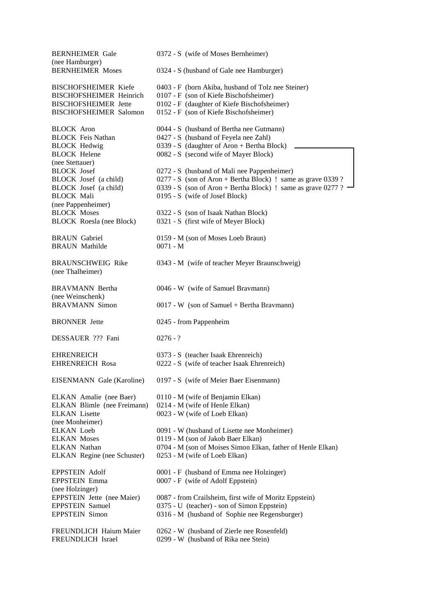BERNHEIMER Gale 0372 - S (wife of Moses Bernheimer) (nee Hamburger) BERNHEIMER Moses 0324 - S (husband of Gale nee Hamburger) BISCHOFSHEIMER Kiefe 0403 - F (born Akiba, husband of Tolz nee Steiner) BISCHOFSHEIMER Heinrich 0107 - F (son of Kiefe Bischofsheimer) BISCHOFSHEIMER Jette 0102 - F (daughter of Kiefe Bischofsheimer) BISCHOFSHEIMER Salomon 0152 - F (son of Kiefe Bischofsheimer) BLOCK Aron 0044 - S (husband of Bertha nee Gutmann) BLOCK Feis Nathan 0427 - S (husband of Feyela nee Zahl) BLOCK Hedwig 0339 - S (daughter of Aron + Bertha Block) BLOCK Helene 0082 - S (second wife of Mayer Block) (nee Stettauer) BLOCK Josef 0272 - S (husband of Mali nee Pappenheimer) BLOCK Josef (a child) 0277 - S (son of Aron + Bertha Block) ! same as grave 0339 ? BLOCK Josef (a child) 0339 - S (son of Aron + Bertha Block) ! same as grave 0277 ? BLOCK Mali 0195 - S (wife of Josef Block) (nee Pappenheimer) BLOCK Moses 0322 - S (son of Isaak Nathan Block) BLOCK Roesla (nee Block) 0321 - S (first wife of Meyer Block) BRAUN Gabriel 0159 - M (son of Moses Loeb Braun) BRAUN Mathilde 0071 - M BRAUNSCHWEIG Rike 0343 - M (wife of teacher Meyer Braunschweig) (nee Thalheimer) BRAVMANN Bertha 0046 - W (wife of Samuel Bravmann) (nee Weinschenk) BRAVMANN Simon 0017 - W (son of Samuel + Bertha Bravmann) BRONNER Jette 0245 - from Pappenheim DESSAUER ??? Fani 0276 - ? EHRENREICH 0373 - S (teacher Isaak Ehrenreich) EHRENREICH Rosa 0222 - S (wife of teacher Isaak Ehrenreich) EISENMANN Gale (Karoline) 0197 - S (wife of Meier Baer Eisenmann) ELKAN Amalie (nee Baer) 0110 - M (wife of Benjamin Elkan) ELKAN Blimle (nee Freimann) 0214 - M (wife of Henle Elkan) ELKAN Lisette 0023 - W (wife of Loeb Elkan) (nee Monheimer) ELKAN Loeb 0091 - W (husband of Lisette nee Monheimer) ELKAN Moses 0119 - M (son of Jakob Baer Elkan) ELKAN Nathan 0704 - M (son of Moises Simon Elkan, father of Henle Elkan) ELKAN Regine (nee Schuster) 0253 - M (wife of Loeb Elkan) EPPSTEIN Adolf 0001 - F (husband of Emma nee Holzinger) EPPSTEIN Emma 0007 - F (wife of Adolf Eppstein) (nee Holzinger) EPPSTEIN Jette (nee Maier) 0087 - from Crailsheim, first wife of Moritz Eppstein)<br>EPPSTEIN Samuel 0375 - U (teacher) - son of Simon Eppstein) 0375 - U (teacher) - son of Simon Eppstein) EPPSTEIN Simon 0316 - M (husband of Sophie nee Regensburger) FREUNDLICH Haium Maier 0262 - W (husband of Zierle nee Rosenfeld) FREUNDLICH Israel 0299 - W (husband of Rika nee Stein)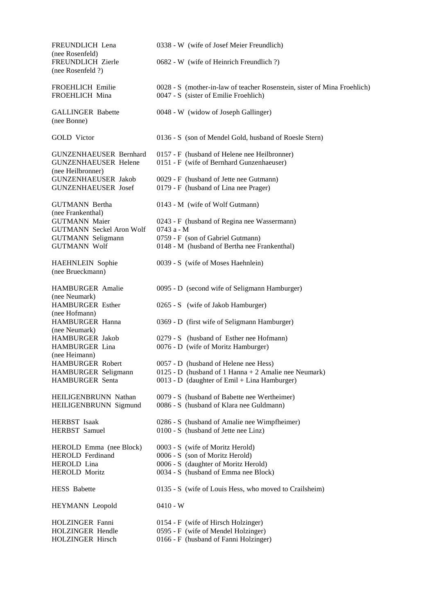| FREUNDLICH Lena                                                                   | 0338 - W (wife of Josef Meier Freundlich)                                                                         |
|-----------------------------------------------------------------------------------|-------------------------------------------------------------------------------------------------------------------|
| (nee Rosenfeld)<br>FREUNDLICH Zierle<br>(nee Rosenfeld ?)                         | 0682 - W (wife of Heinrich Freundlich?)                                                                           |
| FROEHLICH Emilie<br>FROEHLICH Mina                                                | 0028 - S (mother-in-law of teacher Rosenstein, sister of Mina Froehlich)<br>0047 - S (sister of Emilie Froehlich) |
| <b>GALLINGER Babette</b><br>(nee Bonne)                                           | 0048 - W (widow of Joseph Gallinger)                                                                              |
| <b>GOLD</b> Victor                                                                | 0136 - S (son of Mendel Gold, husband of Roesle Stern)                                                            |
| <b>GUNZENHAEUSER Bernhard</b><br><b>GUNZENHAEUSER Helene</b><br>(nee Heilbronner) | 0157 - F (husband of Helene nee Heilbronner)<br>0151 - F (wife of Bernhard Gunzenhaeuser)                         |
| <b>GUNZENHAEUSER Jakob</b><br><b>GUNZENHAEUSER Josef</b>                          | 0029 - F (husband of Jette nee Gutmann)<br>0179 - F (husband of Lina nee Prager)                                  |
| <b>GUTMANN</b> Bertha                                                             | 0143 - M (wife of Wolf Gutmann)                                                                                   |
| (nee Frankenthal)<br><b>GUTMANN Maier</b>                                         | 0243 - F (husband of Regina nee Wassermann)<br>0743 a - M                                                         |
| <b>GUTMANN Seckel Aron Wolf</b><br><b>GUTMANN Seligmann</b>                       | 0759 - F (son of Gabriel Gutmann)                                                                                 |
| <b>GUTMANN Wolf</b>                                                               | 0148 - M (husband of Bertha nee Frankenthal)                                                                      |
| HAEHNLEIN Sophie<br>(nee Brueckmann)                                              | 0039 - S (wife of Moses Haehnlein)                                                                                |
| <b>HAMBURGER</b> Amalie<br>(nee Neumark)                                          | 0095 - D (second wife of Seligmann Hamburger)                                                                     |
| <b>HAMBURGER Esther</b><br>(nee Hofmann)                                          | 0265 - S (wife of Jakob Hamburger)                                                                                |
| HAMBURGER Hanna<br>(nee Neumark)                                                  | 0369 - D (first wife of Seligmann Hamburger)                                                                      |
| HAMBURGER Jakob                                                                   | 0279 - S (husband of Esther nee Hofmann)                                                                          |
| HAMBURGER Lina<br>(nee Heimann)                                                   | 0076 - D (wife of Moritz Hamburger)                                                                               |
| <b>HAMBURGER Robert</b>                                                           | 0057 - D (husband of Helene nee Hess)                                                                             |
| HAMBURGER Seligmann<br><b>HAMBURGER</b> Senta                                     | 0125 - D (husband of 1 Hanna + 2 Amalie nee Neumark)<br>0013 - D (daughter of Emil + Lina Hamburger)              |
| HEILIGENBRUNN Nathan                                                              | 0079 - S (husband of Babette nee Wertheimer)                                                                      |
| HEILIGENBRUNN Sigmund                                                             | 0086 - S (husband of Klara nee Guldmann)                                                                          |
| <b>HERBST</b> Isaak<br><b>HERBST</b> Samuel                                       | 0286 - S (husband of Amalie nee Wimpfheimer)<br>0100 - S (husband of Jette nee Linz)                              |
| HEROLD Emma (nee Block)                                                           | 0003 - S (wife of Moritz Herold)                                                                                  |
| <b>HEROLD</b> Ferdinand                                                           | 0006 - S (son of Moritz Herold)                                                                                   |
| HEROLD Lina                                                                       | 0006 - S (daughter of Moritz Herold)                                                                              |
| <b>HEROLD Moritz</b>                                                              | 0034 - S (husband of Emma nee Block)                                                                              |
| <b>HESS</b> Babette                                                               | 0135 - S (wife of Louis Hess, who moved to Crailsheim)                                                            |
| HEYMANN Leopold                                                                   | $0410 - W$                                                                                                        |
| <b>HOLZINGER</b> Fanni                                                            | 0154 - F (wife of Hirsch Holzinger)                                                                               |
| HOLZINGER Hendle                                                                  | 0595 - F (wife of Mendel Holzinger)                                                                               |
| HOLZINGER Hirsch                                                                  | 0166 - F (husband of Fanni Holzinger)                                                                             |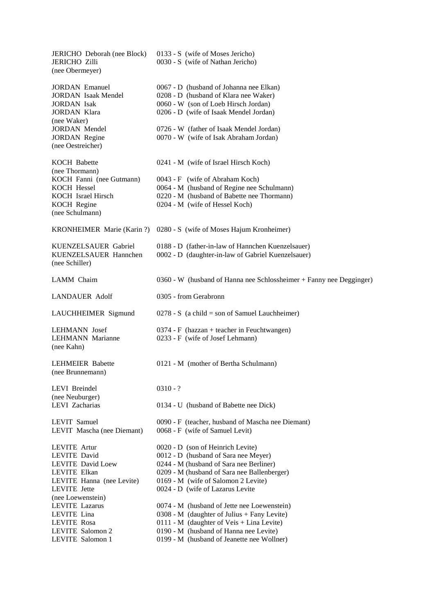JERICHO Deborah (nee Block) 0133 - S (wife of Moses Jericho) JERICHO Zilli 0030 - S (wife of Nathan Jericho) (nee Obermeyer) JORDAN Emanuel 0067 - D (husband of Johanna nee Elkan) JORDAN Isaak Mendel 0208 - D (husband of Klara nee Waker) JORDAN Isak 0060 - W (son of Loeb Hirsch Jordan) JORDAN Klara 0206 - D (wife of Isaak Mendel Jordan) (nee Waker) JORDAN Mendel 0726 - W (father of Isaak Mendel Jordan) JORDAN Regine 0070 - W (wife of Isak Abraham Jordan) (nee Oestreicher) KOCH Babette 0241 - M (wife of Israel Hirsch Koch) (nee Thormann) KOCH Fanni (nee Gutmann) 0043 - F (wife of Abraham Koch) KOCH Hessel 0064 - M (husband of Regine nee Schulmann) KOCH Israel Hirsch 0220 - M (husband of Babette nee Thormann) KOCH Regine 0204 - M (wife of Hessel Koch) (nee Schulmann) KRONHEIMER Marie (Karin ?) 0280 - S (wife of Moses Hajum Kronheimer) KUENZELSAUER Gabriel 0188 - D (father-in-law of Hannchen Kuenzelsauer) KUENZELSAUER Hannchen 0002 - D (daughter-in-law of Gabriel Kuenzelsauer) (nee Schiller) LAMM Chaim 0360 - W (husband of Hanna nee Schlossheimer + Fanny nee Degginger) LANDAUER Adolf 0305 - from Gerabronn LAUCHHEIMER Sigmund  $0278 - S$  (a child = son of Samuel Lauchheimer) LEHMANN Josef 0374 - F (hazzan + teacher in Feuchtwangen)<br>LEHMANN Marianne 0233 - F (wife of Josef Lehmann) 0233 - F (wife of Josef Lehmann) (nee Kahn) LEHMEIER Babette 0121 - M (mother of Bertha Schulmann) (nee Brunnemann) LEVI Breindel 0310 - ? (nee Neuburger) LEVI Zacharias 0134 - U (husband of Babette nee Dick) LEVIT Samuel 0090 - F (teacher, husband of Mascha nee Diemant) LEVIT Mascha (nee Diemant) 0068 - F (wife of Samuel Levit) LEVITE Artur 0020 - D (son of Heinrich Levite) LEVITE David 0012 - D (husband of Sara nee Meyer) LEVITE David Loew 0244 - M (husband of Sara nee Berliner) LEVITE Elkan 0209 - M (husband of Sara nee Ballenberger)<br>LEVITE Hanna (nee Levite) 0169 - M (wife of Salomon 2 Levite)  $0169 - M$  (wife of Salomon 2 Levite) LEVITE Jette 0024 - D (wife of Lazarus Levite (nee Loewenstein) 0074 - M (husband of Jette nee Loewenstein) LEVITE Lina 0308 - M (daughter of Julius + Fany Levite) LEVITE Rosa 0111 - M (daughter of Veis + Lina Levite) LEVITE Salomon 2 0190 - M (husband of Hanna nee Levite) LEVITE Salomon 1 0199 - M (husband of Jeanette nee Wollner)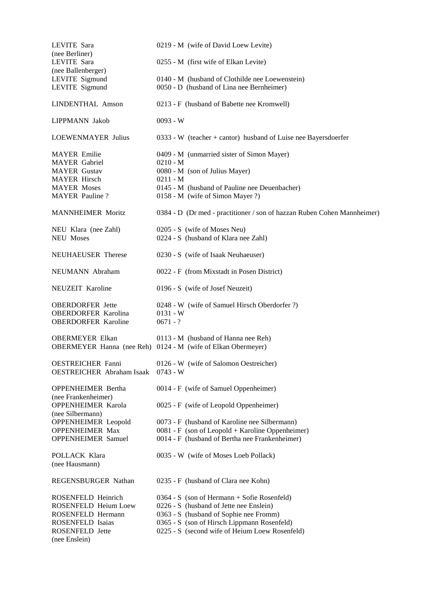| LEVITE Sara                                      | 0219 - M (wife of David Loew Levite)                                    |  |  |  |  |
|--------------------------------------------------|-------------------------------------------------------------------------|--|--|--|--|
| (nee Berliner)<br>LEVITE Sara                    |                                                                         |  |  |  |  |
| (nee Ballenberger)                               | 0255 - M (first wife of Elkan Levite)                                   |  |  |  |  |
| LEVITE Sigmund                                   | 0140 - M (husband of Clothilde nee Loewenstein)                         |  |  |  |  |
| LEVITE Sigmund                                   | 0050 - D (husband of Lina nee Bernheimer)                               |  |  |  |  |
| LINDENTHAL Amson                                 | 0213 - F (husband of Babette nee Kromwell)                              |  |  |  |  |
| LIPPMANN Jakob                                   | $0093 - W$                                                              |  |  |  |  |
| <b>LOEWENMAYER Julius</b>                        | 0333 - W (teacher + cantor) husband of Luise nee Bayersdoerfer          |  |  |  |  |
| <b>MAYER</b> Emilie                              | 0409 - M (unmarried sister of Simon Mayer)                              |  |  |  |  |
| <b>MAYER</b> Gabriel                             | $0210 - M$                                                              |  |  |  |  |
| <b>MAYER</b> Gustav                              | 0080 - M (son of Julius Mayer)                                          |  |  |  |  |
| <b>MAYER Hirsch</b><br><b>MAYER Moses</b>        | $0211 - M$<br>0145 - M (husband of Pauline nee Deuenbacher)             |  |  |  |  |
| <b>MAYER</b> Pauline?                            | 0158 - M (wife of Simon Mayer ?)                                        |  |  |  |  |
| <b>MANNHEIMER Moritz</b>                         | 0384 - D (Dr med - practitioner / son of hazzan Ruben Cohen Mannheimer) |  |  |  |  |
| NEU Klara (nee Zahl)                             | 0205 - S (wife of Moses Neu)                                            |  |  |  |  |
| <b>NEU Moses</b>                                 | 0224 - S (husband of Klara nee Zahl)                                    |  |  |  |  |
| NEUHAEUSER Therese                               | 0230 - S (wife of Isaak Neuhaeuser)                                     |  |  |  |  |
| NEUMANN Abraham                                  | 0022 - F (from Mixstadt in Posen District)                              |  |  |  |  |
| NEUZEIT Karoline                                 | 0196 - S (wife of Josef Neuzeit)                                        |  |  |  |  |
| <b>OBERDORFER</b> Jette                          | 0248 - W (wife of Samuel Hirsch Oberdorfer ?)                           |  |  |  |  |
| <b>OBERDORFER Karolina</b>                       | $0131 - W$                                                              |  |  |  |  |
| <b>OBERDORFER Karoline</b>                       | $0671 - ?$                                                              |  |  |  |  |
| <b>OBERMEYER Elkan</b>                           | 0113 - M (husband of Hanna nee Reh)                                     |  |  |  |  |
|                                                  | OBERMEYER Hanna (nee Reh) 0124 - M (wife of Elkan Obermeyer)            |  |  |  |  |
| <b>OESTREICHER Fanni</b>                         | 0126 - W (wife of Salomon Oestreicher)                                  |  |  |  |  |
| <b>OESTREICHER Abraham Isaak</b>                 | $0743 - W$                                                              |  |  |  |  |
| <b>OPPENHEIMER Bertha</b>                        | 0014 - F (wife of Samuel Oppenheimer)                                   |  |  |  |  |
| (nee Frankenheimer)<br><b>OPPENHEIMER Karola</b> | 0025 - F (wife of Leopold Oppenheimer)                                  |  |  |  |  |
| (nee Silbermann)                                 |                                                                         |  |  |  |  |
| <b>OPPENHEIMER</b> Leopold                       | 0073 - F (husband of Karoline nee Silbermann)                           |  |  |  |  |
| OPPENHEIMER Max                                  | $0081 - F$ (son of Leopold + Karoline Oppenheimer)                      |  |  |  |  |
| <b>OPPENHEIMER Samuel</b>                        | 0014 - F (husband of Bertha nee Frankenheimer)                          |  |  |  |  |
| POLLACK Klara<br>(nee Hausmann)                  | 0035 - W (wife of Moses Loeb Pollack)                                   |  |  |  |  |
| REGENSBURGER Nathan                              | 0235 - F (husband of Clara nee Kohn)                                    |  |  |  |  |
| ROSENFELD Heinrich                               | 0364 - S (son of Hermann + Sofie Rosenfeld)                             |  |  |  |  |
| ROSENFELD Heium Loew                             | 0226 - S (husband of Jette nee Enslein)                                 |  |  |  |  |
| ROSENFELD Hermann                                | 0363 - S (husband of Sophie nee Fromm)                                  |  |  |  |  |
| <b>ROSENFELD Isaias</b>                          | 0365 - S (son of Hirsch Lippmann Rosenfeld)                             |  |  |  |  |
| ROSENFELD Jette                                  | 0225 - S (second wife of Heium Loew Rosenfeld)                          |  |  |  |  |
| (nee Enslein)                                    |                                                                         |  |  |  |  |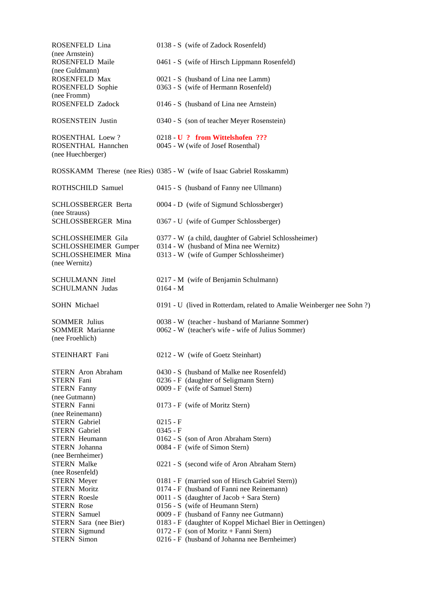| ROSENFELD Lina                                    | 0138 - S (wife of Zadock Rosenfeld)                                                          |  |  |
|---------------------------------------------------|----------------------------------------------------------------------------------------------|--|--|
| (nee Arnstein)<br>ROSENFELD Maile                 | 0461 - S (wife of Hirsch Lippmann Rosenfeld)                                                 |  |  |
| (nee Guldmann)<br>ROSENFELD Max                   | 0021 - S (husband of Lina nee Lamm)                                                          |  |  |
| ROSENFELD Sophie                                  | 0363 - S (wife of Hermann Rosenfeld)                                                         |  |  |
| (nee Fromm)                                       |                                                                                              |  |  |
| ROSENFELD Zadock                                  | 0146 - S (husband of Lina nee Arnstein)                                                      |  |  |
| <b>ROSENSTEIN Justin</b>                          | 0340 - S (son of teacher Meyer Rosenstein)                                                   |  |  |
| <b>ROSENTHAL Loew?</b>                            | 0218 U ? from Wittelshofen ???                                                               |  |  |
| ROSENTHAL Hannchen                                | 0045 - W (wife of Josef Rosenthal)                                                           |  |  |
| (nee Huechberger)                                 |                                                                                              |  |  |
|                                                   | ROSSKAMM Therese (nee Ries) 0385 - W (wife of Isaac Gabriel Rosskamm)                        |  |  |
| ROTHSCHILD Samuel                                 | 0415 - S (husband of Fanny nee Ullmann)                                                      |  |  |
| SCHLOSSBERGER Berta<br>(nee Strauss)              | 0004 - D (wife of Sigmund Schlossberger)                                                     |  |  |
| SCHLOSSBERGER Mina                                | 0367 - U (wife of Gumper Schlossberger)                                                      |  |  |
| SCHLOSSHEIMER Gila                                | 0377 - W (a child, daughter of Gabriel Schlossheimer)                                        |  |  |
| <b>SCHLOSSHEIMER Gumper</b>                       | 0314 - W (husband of Mina nee Wernitz)                                                       |  |  |
| SCHLOSSHEIMER Mina                                | 0313 - W (wife of Gumper Schlossheimer)                                                      |  |  |
| (nee Wernitz)                                     |                                                                                              |  |  |
| <b>SCHULMANN</b> Jittel<br><b>SCHULMANN Judas</b> | 0217 - M (wife of Benjamin Schulmann)<br>$0164 - M$                                          |  |  |
| <b>SOHN Michael</b>                               | 0191 - U (lived in Rotterdam, related to Amalie Weinberger nee Sohn?)                        |  |  |
| <b>SOMMER Julius</b>                              | 0038 - W (teacher - husband of Marianne Sommer)                                              |  |  |
| <b>SOMMER Marianne</b>                            | 0062 - W (teacher's wife - wife of Julius Sommer)                                            |  |  |
| (nee Froehlich)                                   |                                                                                              |  |  |
| STEINHART Fani                                    | 0212 - W (wife of Goetz Steinhart)                                                           |  |  |
|                                                   |                                                                                              |  |  |
| STERN Aron Abraham                                | 0430 - S (husband of Malke nee Rosenfeld)                                                    |  |  |
| <b>STERN</b> Fani                                 | 0236 - F (daughter of Seligmann Stern)                                                       |  |  |
| <b>STERN Fanny</b><br>(nee Gutmann)               | 0009 - F (wife of Samuel Stern)                                                              |  |  |
| <b>STERN Fanni</b>                                | 0173 - F (wife of Moritz Stern)                                                              |  |  |
| (nee Reinemann)                                   |                                                                                              |  |  |
| <b>STERN</b> Gabriel                              | $0215 - F$                                                                                   |  |  |
| <b>STERN</b> Gabriel                              | $0345 - F$                                                                                   |  |  |
| <b>STERN</b> Heumann                              | 0162 - S (son of Aron Abraham Stern)                                                         |  |  |
| <b>STERN</b> Johanna                              | 0084 - F (wife of Simon Stern)                                                               |  |  |
| (nee Bernheimer)                                  |                                                                                              |  |  |
| <b>STERN Malke</b>                                | 0221 - S (second wife of Aron Abraham Stern)                                                 |  |  |
| (nee Rosenfeld)                                   |                                                                                              |  |  |
| <b>STERN</b> Meyer<br><b>STERN Moritz</b>         | 0181 - F (married son of Hirsch Gabriel Stern))<br>0174 - F (husband of Fanni nee Reinemann) |  |  |
| <b>STERN Roesle</b>                               | 0011 - S (daughter of Jacob + Sara Stern)                                                    |  |  |
| <b>STERN Rose</b>                                 | 0156 - S (wife of Heumann Stern)                                                             |  |  |
| <b>STERN</b> Samuel                               | 0009 - F (husband of Fanny nee Gutmann)                                                      |  |  |
| STERN Sara (nee Bier)                             | 0183 - F (daughter of Koppel Michael Bier in Oettingen)                                      |  |  |
| <b>STERN</b> Sigmund                              | $0172 - F$ (son of Moritz + Fanni Stern)                                                     |  |  |
| <b>STERN Simon</b>                                | 0216 - F (husband of Johanna nee Bernheimer)                                                 |  |  |
|                                                   |                                                                                              |  |  |